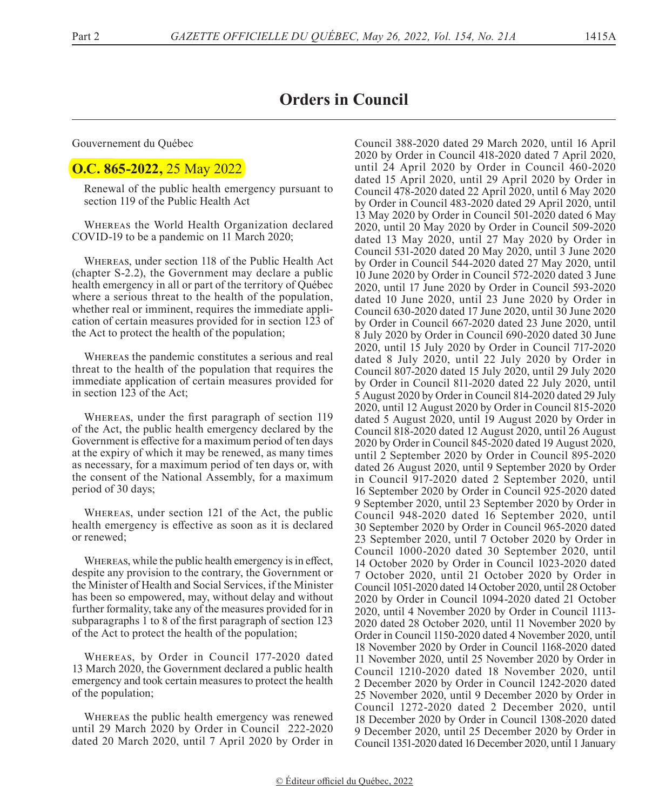## **Orders in Council**

Gouvernement du Québec

## **O.C. 865-2022,** 25 May 2022

Renewal of the public health emergency pursuant to section 119 of the Public Health Act

Whereas the World Health Organization declared COVID-19 to be a pandemic on 11 March 2020;

Whereas, under section 118 of the Public Health Act (chapter S-2.2), the Government may declare a public health emergency in all or part of the territory of Québec where a serious threat to the health of the population, whether real or imminent, requires the immediate application of certain measures provided for in section 123 of the Act to protect the health of the population;

Whereas the pandemic constitutes a serious and real threat to the health of the population that requires the immediate application of certain measures provided for in section 123 of the Act;

Whereas, under the first paragraph of section 119 of the Act, the public health emergency declared by the Government is effective for a maximum period of ten days at the expiry of which it may be renewed, as many times as necessary, for a maximum period of ten days or, with the consent of the National Assembly, for a maximum period of 30 days;

Whereas, under section 121 of the Act, the public health emergency is effective as soon as it is declared or renewed;

Whereas, while the public health emergency is in effect, despite any provision to the contrary, the Government or the Minister of Health and Social Services, if the Minister has been so empowered, may, without delay and without further formality, take any of the measures provided for in subparagraphs 1 to 8 of the first paragraph of section 123 of the Act to protect the health of the population;

Whereas, by Order in Council 177-2020 dated 13 March 2020, the Government declared a public health emergency and took certain measures to protect the health of the population;

Whereas the public health emergency was renewed until 29 March 2020 by Order in Council 222-2020 dated 20 March 2020, until 7 April 2020 by Order in Council 388-2020 dated 29 March 2020, until 16 April 2020 by Order in Council 418-2020 dated 7 April 2020, until 24 April 2020 by Order in Council 460-2020 dated 15 April 2020, until 29 April 2020 by Order in Council 478-2020 dated 22 April 2020, until 6 May 2020 by Order in Council 483-2020 dated 29 April 2020, until 13 May 2020 by Order in Council 501-2020 dated 6 May 2020, until 20 May 2020 by Order in Council 509-2020 dated 13 May 2020, until 27 May 2020 by Order in Council 531-2020 dated 20 May 2020, until 3 June 2020 by Order in Council 544-2020 dated 27 May 2020, until 10 June 2020 by Order in Council 572-2020 dated 3 June 2020, until 17 June 2020 by Order in Council 593-2020 dated 10 June 2020, until 23 June 2020 by Order in Council 630-2020 dated 17 June 2020, until 30 June 2020 by Order in Council 667-2020 dated 23 June 2020, until 8 July 2020 by Order in Council 690-2020 dated 30 June 2020, until 15 July 2020 by Order in Council 717-2020 dated 8 July 2020, until 22 July 2020 by Order in Council 807-2020 dated 15 July 2020, until 29 July 2020 by Order in Council 811-2020 dated 22 July 2020, until 5 August 2020 by Order in Council 814-2020 dated 29 July 2020, until 12 August 2020 by Order in Council 815-2020 dated 5 August 2020, until 19 August 2020 by Order in Council 818-2020 dated 12 August 2020, until 26 August 2020 by Order in Council 845-2020 dated 19 August 2020, until 2 September 2020 by Order in Council 895-2020 dated 26 August 2020, until 9 September 2020 by Order in Council 917-2020 dated 2 September 2020, until 16 September 2020 by Order in Council 925-2020 dated 9 September 2020, until 23 September 2020 by Order in Council 948-2020 dated 16 September 2020, until 30 September 2020 by Order in Council 965-2020 dated 23 September 2020, until 7 October 2020 by Order in Council 1000-2020 dated 30 September 2020, until 14 October 2020 by Order in Council 1023-2020 dated 7 October 2020, until 21 October 2020 by Order in Council 1051-2020 dated 14 October 2020, until 28 October 2020 by Order in Council 1094-2020 dated 21 October 2020, until 4 November 2020 by Order in Council 1113- 2020 dated 28 October 2020, until 11 November 2020 by Order in Council 1150-2020 dated 4 November 2020, until 18 November 2020 by Order in Council 1168-2020 dated 11 November 2020, until 25 November 2020 by Order in Council 1210-2020 dated 18 November 2020, until 2 December 2020 by Order in Council 1242-2020 dated 25 November 2020, until 9 December 2020 by Order in Council 1272-2020 dated 2 December 2020, until 18 December 2020 by Order in Council 1308-2020 dated 9 December 2020, until 25 December 2020 by Order in Council 1351-2020 dated 16 December 2020, until 1 January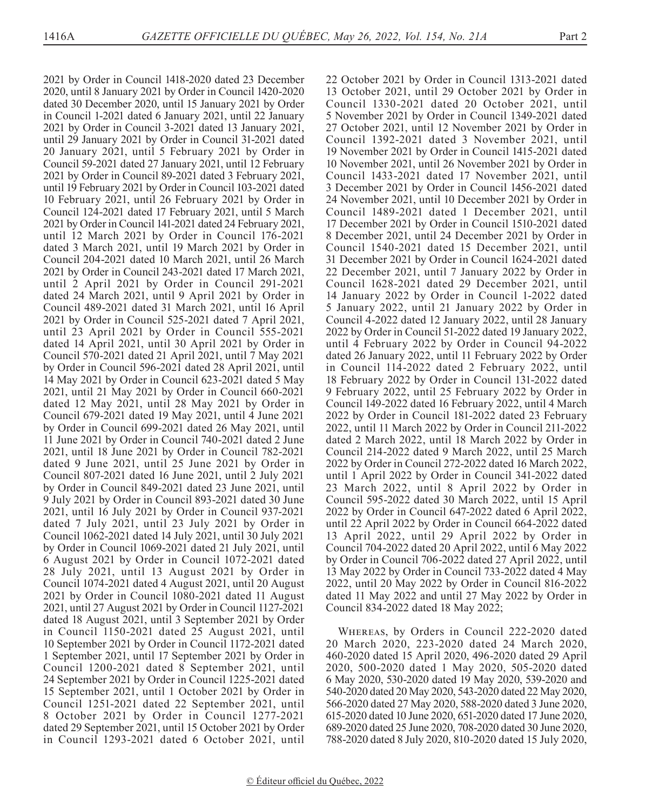2021 by Order in Council 1418-2020 dated 23 December 2020, until 8 January 2021 by Order in Council 1420-2020 dated 30 December 2020, until 15 January 2021 by Order in Council 1-2021 dated 6 January 2021, until 22 January 2021 by Order in Council 3-2021 dated 13 January 2021, until 29 January 2021 by Order in Council 31-2021 dated 20 January 2021, until 5 February 2021 by Order in Council 59-2021 dated 27 January 2021, until 12 February 2021 by Order in Council 89-2021 dated 3 February 2021, until 19 February 2021 by Order in Council 103-2021 dated 10 February 2021, until 26 February 2021 by Order in Council 124-2021 dated 17 February 2021, until 5 March 2021 by Order in Council 141-2021 dated 24 February 2021, until 12 March 2021 by Order in Council 176-2021 dated 3 March 2021, until 19 March 2021 by Order in Council 204-2021 dated 10 March 2021, until 26 March 2021 by Order in Council 243-2021 dated 17 March 2021, until 2 April 2021 by Order in Council 291-2021 dated 24 March 2021, until 9 April 2021 by Order in Council 489-2021 dated 31 March 2021, until 16 April 2021 by Order in Council 525-2021 dated 7 April 2021, until 23 April 2021 by Order in Council 555-2021 dated 14 April 2021, until 30 April 2021 by Order in Council 570-2021 dated 21 April 2021, until 7 May 2021 by Order in Council 596-2021 dated 28 April 2021, until 14 May 2021 by Order in Council 623-2021 dated 5 May 2021, until 21 May 2021 by Order in Council 660-2021 dated 12 May 2021, until 28 May 2021 by Order in Council 679-2021 dated 19 May 2021, until 4 June 2021 by Order in Council 699-2021 dated 26 May 2021, until 11 June 2021 by Order in Council 740-2021 dated 2 June 2021, until 18 June 2021 by Order in Council 782-2021 dated 9 June 2021, until 25 June 2021 by Order in Council 807-2021 dated 16 June 2021, until 2 July 2021 by Order in Council 849-2021 dated 23 June 2021, until 9 July 2021 by Order in Council 893-2021 dated 30 June 2021, until 16 July 2021 by Order in Council 937-2021 dated 7 July 2021, until 23 July 2021 by Order in Council 1062-2021 dated 14 July 2021, until 30 July 2021 by Order in Council 1069-2021 dated 21 July 2021, until 6 August 2021 by Order in Council 1072-2021 dated 28 July 2021, until 13 August 2021 by Order in Council 1074-2021 dated 4 August 2021, until 20 August 2021 by Order in Council 1080-2021 dated 11 August 2021, until 27 August 2021 by Order in Council 1127-2021 dated 18 August 2021, until 3 September 2021 by Order in Council 1150-2021 dated 25 August 2021, until 10 September 2021 by Order in Council 1172-2021 dated 1 September 2021, until 17 September 2021 by Order in Council 1200-2021 dated 8 September 2021, until 24 September 2021 by Order in Council 1225-2021 dated 15 September 2021, until 1 October 2021 by Order in Council 1251-2021 dated 22 September 2021, until 8 October 2021 by Order in Council 1277-2021 dated 29 September 2021, until 15 October 2021 by Order in Council 1293-2021 dated 6 October 2021, until

22 October 2021 by Order in Council 1313-2021 dated 13 October 2021, until 29 October 2021 by Order in Council 1330-2021 dated 20 October 2021, until 5 November 2021 by Order in Council 1349-2021 dated 27 October 2021, until 12 November 2021 by Order in Council 1392-2021 dated 3 November 2021, until 19 November 2021 by Order in Council 1415-2021 dated 10 November 2021, until 26 November 2021 by Order in Council 1433-2021 dated 17 November 2021, until 3 December 2021 by Order in Council 1456-2021 dated 24 November 2021, until 10 December 2021 by Order in Council 1489-2021 dated 1 December 2021, until 17 December 2021 by Order in Council 1510-2021 dated 8 December 2021, until 24 December 2021 by Order in Council 1540-2021 dated 15 December 2021, until 31 December 2021 by Order in Council 1624-2021 dated 22 December 2021, until 7 January 2022 by Order in Council 1628-2021 dated 29 December 2021, until 14 January 2022 by Order in Council 1-2022 dated 5 January 2022, until 21 January 2022 by Order in Council 4-2022 dated 12 January 2022, until 28 January 2022 by Order in Council 51-2022 dated 19 January 2022, until 4 February 2022 by Order in Council 94-2022 dated 26 January 2022, until 11 February 2022 by Order in Council 114-2022 dated 2 February 2022, until 18 February 2022 by Order in Council 131-2022 dated 9 February 2022, until 25 February 2022 by Order in Council 149-2022 dated 16 February 2022, until 4 March 2022 by Order in Council 181-2022 dated 23 February 2022, until 11 March 2022 by Order in Council 211-2022 dated 2 March 2022, until 18 March 2022 by Order in Council 214-2022 dated 9 March 2022, until 25 March 2022 by Order in Council 272-2022 dated 16 March 2022, until 1 April 2022 by Order in Council 341-2022 dated 23 March 2022, until 8 April 2022 by Order in Council 595-2022 dated 30 March 2022, until 15 April 2022 by Order in Council 647-2022 dated 6 April 2022, until 22 April 2022 by Order in Council 664-2022 dated 13 April 2022, until 29 April 2022 by Order in Council 704-2022 dated 20 April 2022, until 6 May 2022 by Order in Council 706-2022 dated 27 April 2022, until 13 May 2022 by Order in Council 733-2022 dated 4 May 2022, until 20 May 2022 by Order in Council 816-2022 dated 11 May 2022 and until 27 May 2022 by Order in Council 834-2022 dated 18 May 2022;

Whereas, by Orders in Council 222-2020 dated 20 March 2020, 223-2020 dated 24 March 2020, 460-2020 dated 15 April 2020, 496-2020 dated 29 April 2020, 500-2020 dated 1 May 2020, 505-2020 dated 6 May 2020, 530-2020 dated 19 May 2020, 539-2020 and 540-2020 dated 20 May 2020, 543-2020 dated 22 May 2020, 566-2020 dated 27 May 2020, 588-2020 dated 3 June 2020, 615-2020 dated 10 June 2020, 651-2020 dated 17 June 2020, 689-2020 dated 25 June 2020, 708-2020 dated 30 June 2020, 788-2020 dated 8 July 2020, 810-2020 dated 15 July 2020,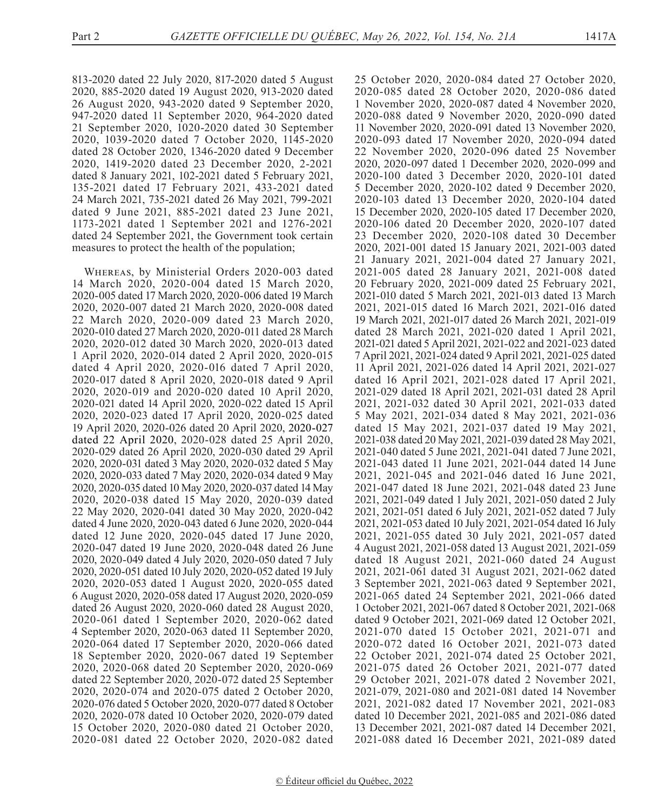813-2020 dated 22 July 2020, 817-2020 dated 5 August 2020, 885-2020 dated 19 August 2020, 913-2020 dated 26 August 2020, 943-2020 dated 9 September 2020, 947-2020 dated 11 September 2020, 964-2020 dated 21 September 2020, 1020-2020 dated 30 September 2020, 1039-2020 dated 7 October 2020, 1145-2020 dated 28 October 2020, 1346-2020 dated 9 December 2020, 1419-2020 dated 23 December 2020, 2-2021 dated 8 January 2021, 102-2021 dated 5 February 2021, 135-2021 dated 17 February 2021, 433-2021 dated 24 March 2021, 735-2021 dated 26 May 2021, 799-2021 dated 9 June 2021, 885-2021 dated 23 June 2021, 1173-2021 dated 1 September 2021 and 1276-2021 dated 24 September 2021, the Government took certain measures to protect the health of the population;

Whereas, by Ministerial Orders 2020-003 dated 14 March 2020, 2020-004 dated 15 March 2020, 2020-005 dated 17 March 2020, 2020-006 dated 19 March 2020, 2020-007 dated 21 March 2020, 2020-008 dated 22 March 2020, 2020-009 dated 23 March 2020, 2020-010 dated 27 March 2020, 2020-011 dated 28 March 2020, 2020-012 dated 30 March 2020, 2020-013 dated 1 April 2020, 2020-014 dated 2 April 2020, 2020-015 dated 4 April 2020, 2020-016 dated 7 April 2020, 2020-017 dated 8 April 2020, 2020-018 dated 9 April 2020, 2020-019 and 2020-020 dated 10 April 2020, 2020-021 dated 14 April 2020, 2020-022 dated 15 April 2020, 2020-023 dated 17 April 2020, 2020-025 dated 19 April 2020, 2020-026 dated 20 April 2020, 2020-027 dated 22 April 2020, 2020-028 dated 25 April 2020, 2020-029 dated 26 April 2020, 2020-030 dated 29 April 2020, 2020-031 dated 3 May 2020, 2020-032 dated 5 May 2020, 2020-033 dated 7 May 2020, 2020-034 dated 9 May 2020, 2020-035 dated 10 May 2020, 2020-037 dated 14 May 2020, 2020-038 dated 15 May 2020, 2020-039 dated 22 May 2020, 2020-041 dated 30 May 2020, 2020-042 dated 4 June 2020, 2020-043 dated 6 June 2020, 2020-044 dated 12 June 2020, 2020-045 dated 17 June 2020, 2020-047 dated 19 June 2020, 2020-048 dated 26 June 2020, 2020-049 dated 4 July 2020, 2020-050 dated 7 July 2020, 2020-051 dated 10 July 2020, 2020-052 dated 19 July 2020, 2020-053 dated 1 August 2020, 2020-055 dated 6 August 2020, 2020-058 dated 17 August 2020, 2020-059 dated 26 August 2020, 2020-060 dated 28 August 2020, 2020-061 dated 1 September 2020, 2020-062 dated 4 September 2020, 2020-063 dated 11 September 2020, 2020-064 dated 17 September 2020, 2020-066 dated 18 September 2020, 2020-067 dated 19 September 2020, 2020-068 dated 20 September 2020, 2020-069 dated 22 September 2020, 2020-072 dated 25 September 2020, 2020-074 and 2020-075 dated 2 October 2020, 2020-076 dated 5 October 2020, 2020-077 dated 8 October 2020, 2020-078 dated 10 October 2020, 2020-079 dated 15 October 2020, 2020-080 dated 21 October 2020, 2020-081 dated 22 October 2020, 2020-082 dated 25 October 2020, 2020-084 dated 27 October 2020, 2020-085 dated 28 October 2020, 2020-086 dated 1 November 2020, 2020-087 dated 4 November 2020, 2020-088 dated 9 November 2020, 2020-090 dated 11 November 2020, 2020-091 dated 13 November 2020, 2020-093 dated 17 November 2020, 2020-094 dated 22 November 2020, 2020-096 dated 25 November 2020, 2020-097 dated 1 December 2020, 2020-099 and 2020-100 dated 3 December 2020, 2020-101 dated 5 December 2020, 2020-102 dated 9 December 2020, 2020-103 dated 13 December 2020, 2020-104 dated 15 December 2020, 2020-105 dated 17 December 2020, 2020-106 dated 20 December 2020, 2020-107 dated 23 December 2020, 2020-108 dated 30 December 2020, 2021-001 dated 15 January 2021, 2021-003 dated 21 January 2021, 2021-004 dated 27 January 2021, 2021-005 dated 28 January 2021, 2021-008 dated 20 February 2020, 2021-009 dated 25 February 2021, 2021-010 dated 5 March 2021, 2021-013 dated 13 March 2021, 2021-015 dated 16 March 2021, 2021-016 dated 19 March 2021, 2021-017 dated 26 March 2021, 2021-019 dated 28 March 2021, 2021-020 dated 1 April 2021, 2021-021 dated 5 April 2021, 2021-022 and 2021-023 dated 7 April 2021, 2021-024 dated 9 April 2021, 2021-025 dated 11 April 2021, 2021-026 dated 14 April 2021, 2021-027 dated 16 April 2021, 2021-028 dated 17 April 2021, 2021-029 dated 18 April 2021, 2021-031 dated 28 April 2021, 2021-032 dated 30 April 2021, 2021-033 dated 5 May 2021, 2021-034 dated 8 May 2021, 2021-036 dated 15 May 2021, 2021-037 dated 19 May 2021, 2021-038 dated 20 May 2021, 2021-039 dated 28 May 2021, 2021-040 dated 5 June 2021, 2021-041 dated 7 June 2021, 2021-043 dated 11 June 2021, 2021-044 dated 14 June 2021, 2021-045 and 2021-046 dated 16 June 2021, 2021-047 dated 18 June 2021, 2021-048 dated 23 June 2021, 2021-049 dated 1 July 2021, 2021-050 dated 2 July 2021, 2021-051 dated 6 July 2021, 2021-052 dated 7 July 2021, 2021-053 dated 10 July 2021, 2021-054 dated 16 July 2021, 2021-055 dated 30 July 2021, 2021-057 dated 4 August 2021, 2021-058 dated 13 August 2021, 2021-059 dated 18 August 2021, 2021-060 dated 24 August 2021, 2021-061 dated 31 August 2021, 2021-062 dated 3 September 2021, 2021-063 dated 9 September 2021, 2021-065 dated 24 September 2021, 2021-066 dated 1 October 2021, 2021-067 dated 8 October 2021, 2021-068 dated 9 October 2021, 2021-069 dated 12 October 2021, 2021-070 dated 15 October 2021, 2021-071 and 2020-072 dated 16 October 2021, 2021-073 dated 22 October 2021, 2021-074 dated 25 October 2021, 2021-075 dated 26 October 2021, 2021-077 dated 29 October 2021, 2021-078 dated 2 November 2021, 2021-079, 2021-080 and 2021-081 dated 14 November 2021, 2021-082 dated 17 November 2021, 2021-083 dated 10 December 2021, 2021-085 and 2021-086 dated 13 December 2021, 2021-087 dated 14 December 2021, 2021-088 dated 16 December 2021, 2021-089 dated